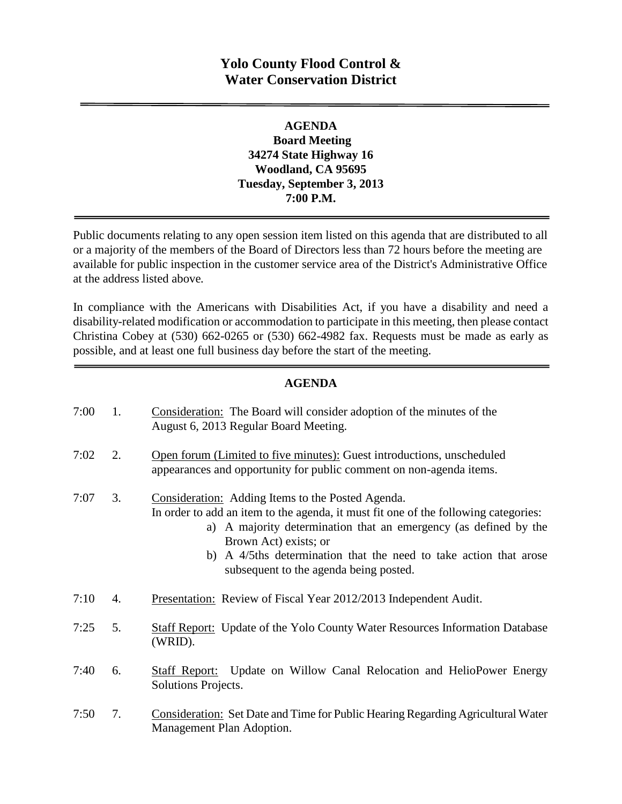# **Yolo County Flood Control & Water Conservation District**

#### **AGENDA Board Meeting 34274 State Highway 16 Woodland, CA 95695 Tuesday, September 3, 2013 7:00 P.M.**

Public documents relating to any open session item listed on this agenda that are distributed to all or a majority of the members of the Board of Directors less than 72 hours before the meeting are available for public inspection in the customer service area of the District's Administrative Office at the address listed above*.* 

In compliance with the Americans with Disabilities Act, if you have a disability and need a disability-related modification or accommodation to participate in this meeting, then please contact Christina Cobey at (530) 662-0265 or (530) 662-4982 fax. Requests must be made as early as possible, and at least one full business day before the start of the meeting.

#### **AGENDA**

| 7:00 | 1. | Consideration: The Board will consider adoption of the minutes of the<br>August 6, 2013 Regular Board Meeting.                                                                                                                                                                                                                                       |
|------|----|------------------------------------------------------------------------------------------------------------------------------------------------------------------------------------------------------------------------------------------------------------------------------------------------------------------------------------------------------|
| 7:02 | 2. | Open forum (Limited to five minutes): Guest introductions, unscheduled<br>appearances and opportunity for public comment on non-agenda items.                                                                                                                                                                                                        |
| 7:07 | 3. | Consideration: Adding Items to the Posted Agenda.<br>In order to add an item to the agenda, it must fit one of the following categories:<br>a) A majority determination that an emergency (as defined by the<br>Brown Act) exists; or<br>b) A 4/5ths determination that the need to take action that arose<br>subsequent to the agenda being posted. |
| 7:10 | 4. | Presentation: Review of Fiscal Year 2012/2013 Independent Audit.                                                                                                                                                                                                                                                                                     |
| 7:25 | 5. | <b>Staff Report:</b> Update of the Yolo County Water Resources Information Database<br>(WRID).                                                                                                                                                                                                                                                       |
| 7:40 | 6. | Staff Report: Update on Willow Canal Relocation and HelioPower Energy<br>Solutions Projects.                                                                                                                                                                                                                                                         |
| 7:50 | 7. | <b>Consideration: Set Date and Time for Public Hearing Regarding Agricultural Water</b><br>Management Plan Adoption.                                                                                                                                                                                                                                 |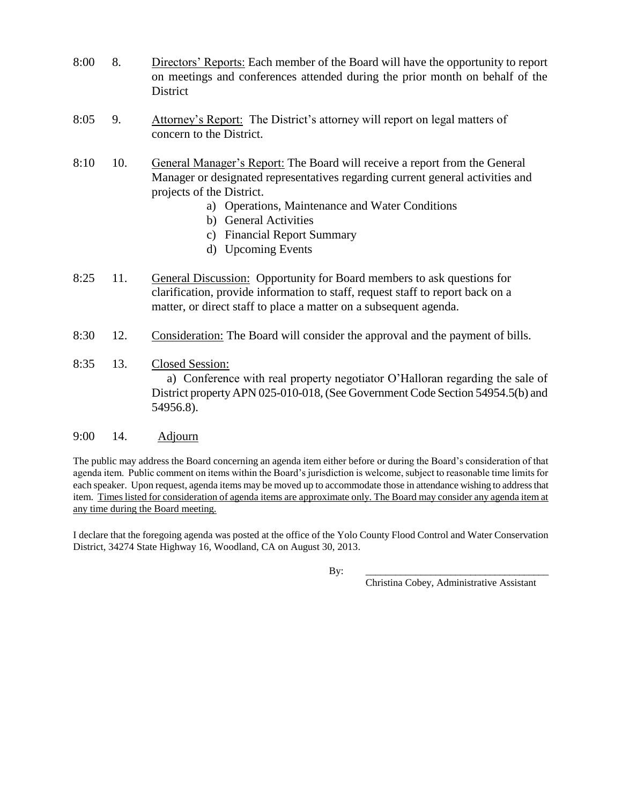- 8:00 8. Directors' Reports: Each member of the Board will have the opportunity to report on meetings and conferences attended during the prior month on behalf of the **District**
- 8:05 9. Attorney's Report: The District's attorney will report on legal matters of concern to the District.
- 8:10 10. General Manager's Report: The Board will receive a report from the General Manager or designated representatives regarding current general activities and projects of the District.
	- a) Operations, Maintenance and Water Conditions
	- b) General Activities
	- c) Financial Report Summary
	- d) Upcoming Events
- 8:25 11. General Discussion: Opportunity for Board members to ask questions for clarification, provide information to staff, request staff to report back on a matter, or direct staff to place a matter on a subsequent agenda.
- 8:30 12. Consideration: The Board will consider the approval and the payment of bills.
- 8:35 13. Closed Session: a) Conference with real property negotiator O'Halloran regarding the sale of District property APN 025-010-018, (See Government Code Section 54954.5(b) and 54956.8).

#### 9:00 14. Adjourn

The public may address the Board concerning an agenda item either before or during the Board's consideration of that agenda item. Public comment on items within the Board's jurisdiction is welcome, subject to reasonable time limits for each speaker. Upon request, agenda items may be moved up to accommodate those in attendance wishing to address that item. Times listed for consideration of agenda items are approximate only. The Board may consider any agenda item at any time during the Board meeting.

I declare that the foregoing agenda was posted at the office of the Yolo County Flood Control and Water Conservation District, 34274 State Highway 16, Woodland, CA on August 30, 2013.

By: \_\_\_\_\_\_\_\_\_\_\_\_\_\_\_\_\_\_\_\_\_\_\_\_\_\_\_\_\_\_\_\_\_\_\_\_\_

Christina Cobey, Administrative Assistant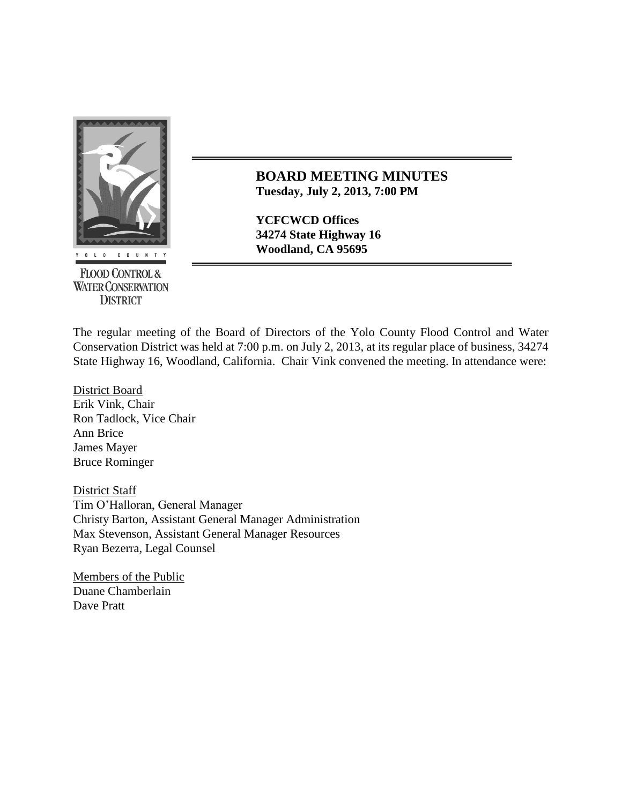

**FLOOD CONTROL & WATER CONSERVATION DISTRICT** 

**BOARD MEETING MINUTES Tuesday, July 2, 2013, 7:00 PM**

**YCFCWCD Offices 34274 State Highway 16**

The regular meeting of the Board of Directors of the Yolo County Flood Control and Water Conservation District was held at 7:00 p.m. on July 2, 2013, at its regular place of business, 34274 State Highway 16, Woodland, California. Chair Vink convened the meeting. In attendance were:

District Board Erik Vink, Chair Ron Tadlock, Vice Chair Ann Brice James Mayer Bruce Rominger

District Staff Tim O'Halloran, General Manager Christy Barton, Assistant General Manager Administration Max Stevenson, Assistant General Manager Resources Ryan Bezerra, Legal Counsel

Members of the Public Duane Chamberlain Dave Pratt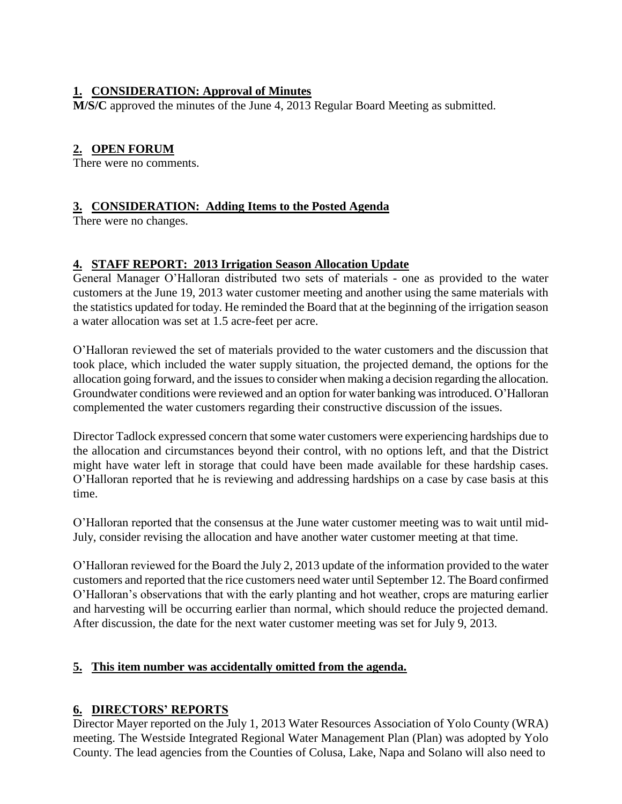# **1. CONSIDERATION: Approval of Minutes**

**M/S/C** approved the minutes of the June 4, 2013 Regular Board Meeting as submitted.

# **2. OPEN FORUM**

There were no comments.

# **3. CONSIDERATION: Adding Items to the Posted Agenda**

There were no changes.

# **4. STAFF REPORT: 2013 Irrigation Season Allocation Update**

General Manager O'Halloran distributed two sets of materials - one as provided to the water customers at the June 19, 2013 water customer meeting and another using the same materials with the statistics updated for today. He reminded the Board that at the beginning of the irrigation season a water allocation was set at 1.5 acre-feet per acre.

O'Halloran reviewed the set of materials provided to the water customers and the discussion that took place, which included the water supply situation, the projected demand, the options for the allocation going forward, and the issues to consider when making a decision regarding the allocation. Groundwater conditions were reviewed and an option for water banking was introduced. O'Halloran complemented the water customers regarding their constructive discussion of the issues.

Director Tadlock expressed concern that some water customers were experiencing hardships due to the allocation and circumstances beyond their control, with no options left, and that the District might have water left in storage that could have been made available for these hardship cases. O'Halloran reported that he is reviewing and addressing hardships on a case by case basis at this time.

O'Halloran reported that the consensus at the June water customer meeting was to wait until mid-July, consider revising the allocation and have another water customer meeting at that time.

O'Halloran reviewed for the Board the July 2, 2013 update of the information provided to the water customers and reported that the rice customers need water until September 12. The Board confirmed O'Halloran's observations that with the early planting and hot weather, crops are maturing earlier and harvesting will be occurring earlier than normal, which should reduce the projected demand. After discussion, the date for the next water customer meeting was set for July 9, 2013.

# **5. This item number was accidentally omitted from the agenda.**

# **6. DIRECTORS' REPORTS**

Director Mayer reported on the July 1, 2013 Water Resources Association of Yolo County (WRA) meeting. The Westside Integrated Regional Water Management Plan (Plan) was adopted by Yolo County. The lead agencies from the Counties of Colusa, Lake, Napa and Solano will also need to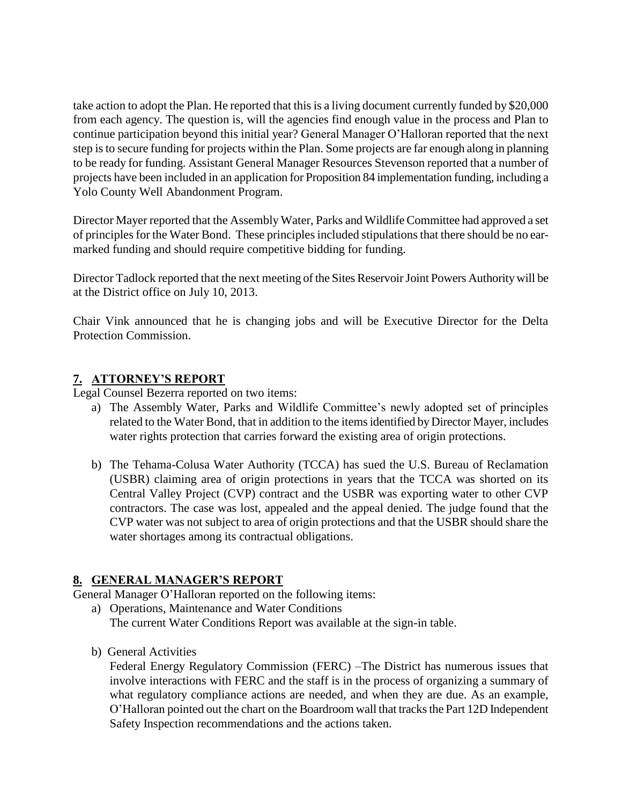take action to adopt the Plan. He reported that this is a living document currently funded by \$20,000 from each agency. The question is, will the agencies find enough value in the process and Plan to continue participation beyond this initial year? General Manager O'Halloran reported that the next step is to secure funding for projects within the Plan. Some projects are far enough along in planning to be ready for funding. Assistant General Manager Resources Stevenson reported that a number of projects have been included in an application for Proposition 84 implementation funding, including a Yolo County Well Abandonment Program.

Director Mayer reported that the Assembly Water, Parks and Wildlife Committee had approved a set of principles for the Water Bond. These principlesincluded stipulations that there should be no earmarked funding and should require competitive bidding for funding.

Director Tadlock reported that the next meeting of the Sites Reservoir Joint Powers Authority will be at the District office on July 10, 2013.

Chair Vink announced that he is changing jobs and will be Executive Director for the Delta Protection Commission.

### **7. ATTORNEY'S REPORT**

Legal Counsel Bezerra reported on two items:

- a) The Assembly Water, Parks and Wildlife Committee's newly adopted set of principles related to the Water Bond, that in addition to the items identified by Director Mayer, includes water rights protection that carries forward the existing area of origin protections.
- b) The Tehama-Colusa Water Authority (TCCA) has sued the U.S. Bureau of Reclamation (USBR) claiming area of origin protections in years that the TCCA was shorted on its Central Valley Project (CVP) contract and the USBR was exporting water to other CVP contractors. The case was lost, appealed and the appeal denied. The judge found that the CVP water was not subject to area of origin protections and that the USBR should share the water shortages among its contractual obligations.

#### **8. GENERAL MANAGER'S REPORT**

General Manager O'Halloran reported on the following items:

- a) Operations, Maintenance and Water Conditions The current Water Conditions Report was available at the sign-in table.
- b) General Activities

Federal Energy Regulatory Commission (FERC) –The District has numerous issues that involve interactions with FERC and the staff is in the process of organizing a summary of what regulatory compliance actions are needed, and when they are due. As an example, O'Halloran pointed out the chart on the Boardroom wall that tracks the Part 12D Independent Safety Inspection recommendations and the actions taken.